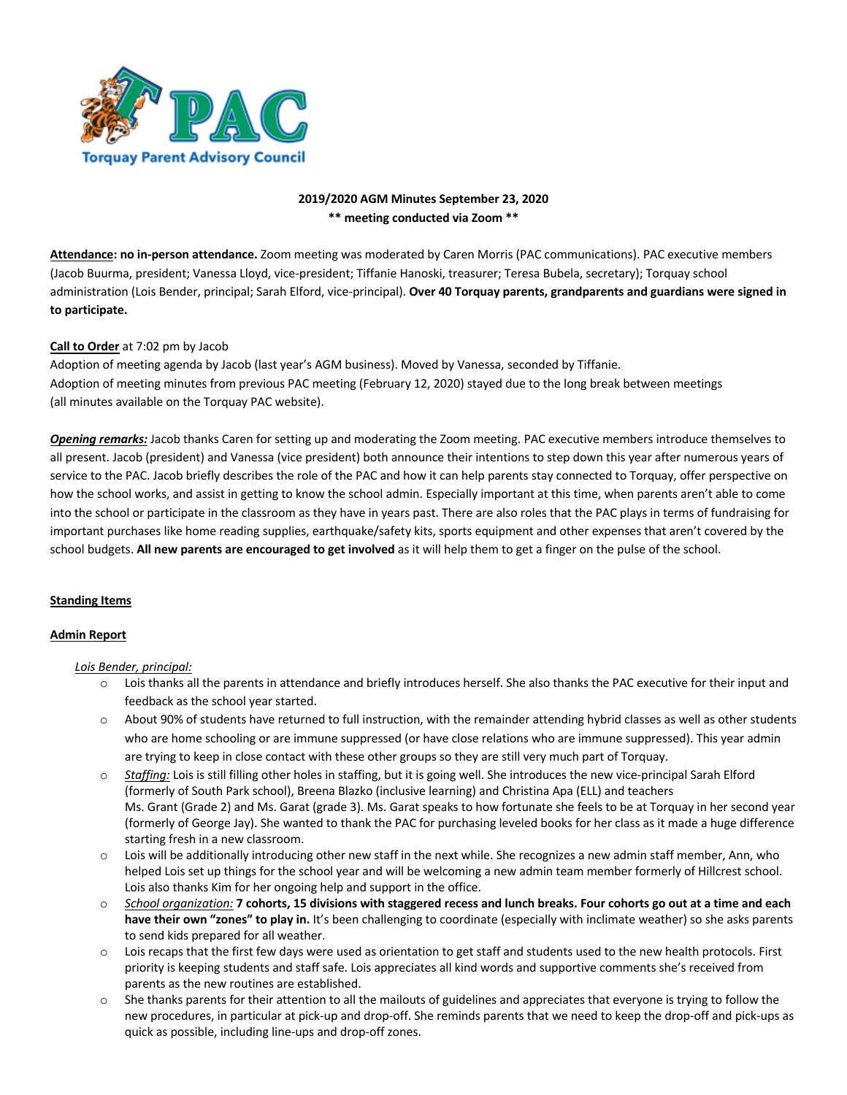

# **2019/2020 AGM Minutes September 23, 2020 \*\* meeting conducted via Zoom \*\***

**Attendance: no in-person attendance.** Zoom meeting was moderated by Caren Morris (PAC communications). PAC executive members (Jacob Buurma, president; Vanessa Lloyd, vice-president; Tiffanie Hanoski, treasurer; Teresa Bubela, secretary); Torquay school administration (Lois Bender, principal; Sarah Elford, vice-principal). **Over 40 Torquay parents, grandparents and guardians were signed in to participate.**

### **Call to Order** at 7:02 pm by Jacob

Adoption of meeting agenda by Jacob (last year's AGM business). Moved by Vanessa, seconded by Tiffanie. Adoption of meeting minutes from previous PAC meeting (February 12, 2020) stayed due to the long break between meetings (all minutes available on the Torquay PAC website).

*Opening remarks:* Jacob thanks Caren for setting up and moderating the Zoom meeting. PAC executive members introduce themselves to all present. Jacob (president) and Vanessa (vice president) both announce their intentions to step down this year after numerous years of service to the PAC. Jacob briefly describes the role of the PAC and how it can help parents stay connected to Torquay, offer perspective on how the school works, and assist in getting to know the school admin. Especially important at this time, when parents aren't able to come into the school or participate in the classroom as they have in years past. There are also roles that the PAC plays in terms of fundraising for important purchases like home reading supplies, earthquake/safety kits, sports equipment and other expenses that aren't covered by the school budgets. **All new parents are encouraged to get involved** as it will help them to get a finger on the pulse of the school.

# **Standing Items**

#### **Admin Report**

#### *Lois Bender, principal:*

- Lois thanks all the parents in attendance and briefly introduces herself. She also thanks the PAC executive for their input and feedback as the school year started.
- o About 90% of students have returned to full instruction, with the remainder attending hybrid classes as well as other students who are home schooling or are immune suppressed (or have close relations who are immune suppressed). This year admin are trying to keep in close contact with these other groups so they are still very much part of Torquay.
- o *Staffing:* Lois is still filling other holes in staffing, but it is going well. She introduces the new vice-principal Sarah Elford (formerly of South Park school), Breena Blazko (inclusive learning) and Christina Apa (ELL) and teachers Ms. Grant (Grade 2) and Ms. Garat (grade 3). Ms. Garat speaks to how fortunate she feels to be at Torquay in her second year (formerly of George Jay). She wanted to thank the PAC for purchasing leveled books for her class as it made a huge difference starting fresh in a new classroom.
- $\circ$  Lois will be additionally introducing other new staff in the next while. She recognizes a new admin staff member, Ann, who helped Lois set up things for the school year and will be welcoming a new admin team member formerly of Hillcrest school. Lois also thanks Kim for her ongoing help and support in the office.
- o *School organization:* **7 cohorts, 15 divisions with staggered recess and lunch breaks. Four cohorts go out at a time and each have their own "zones" to play in.** It's been challenging to coordinate (especially with inclimate weather) so she asks parents to send kids prepared for all weather.
- o Lois recaps that the first few days were used as orientation to get staff and students used to the new health protocols. First priority is keeping students and staff safe. Lois appreciates all kind words and supportive comments she's received from parents as the new routines are established.
- She thanks parents for their attention to all the mailouts of guidelines and appreciates that everyone is trying to follow the new procedures, in particular at pick-up and drop-off. She reminds parents that we need to keep the drop-off and pick-ups as quick as possible, including line-ups and drop-off zones.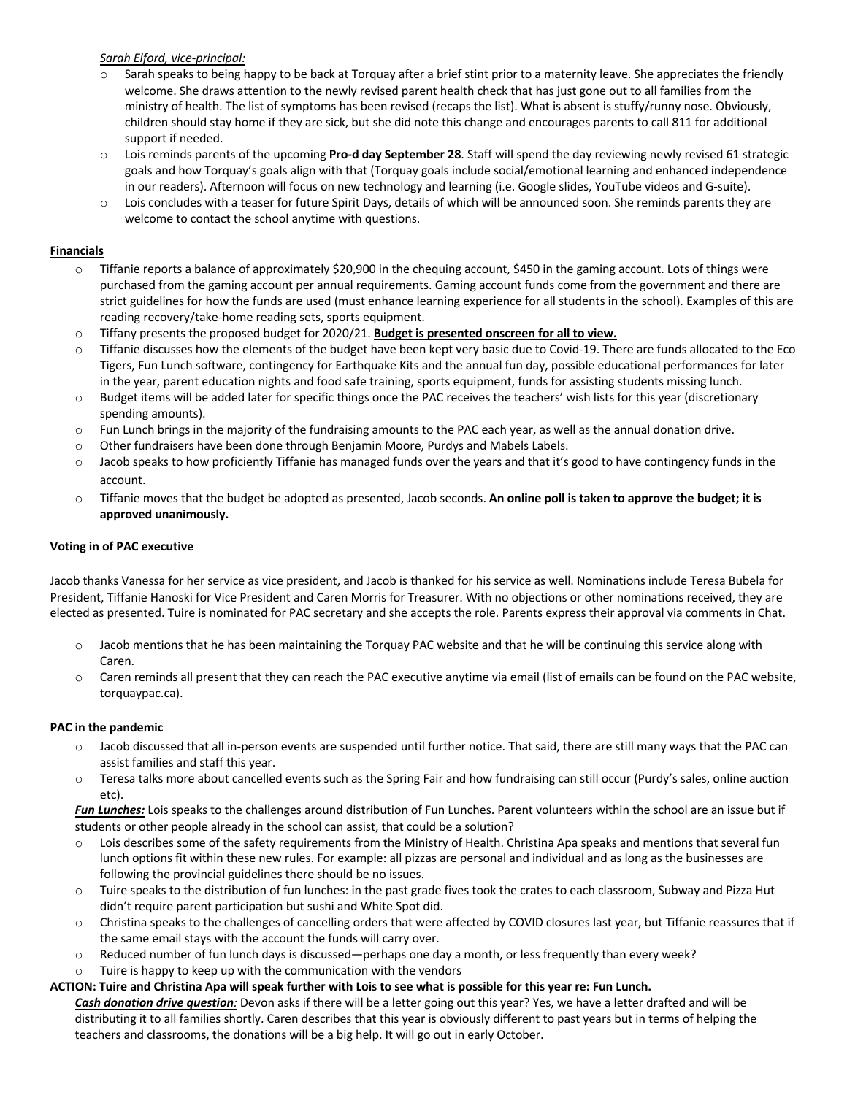### *Sarah Elford, vice-principal:*

- Sarah speaks to being happy to be back at Torquay after a brief stint prior to a maternity leave. She appreciates the friendly welcome. She draws attention to the newly revised parent health check that has just gone out to all families from the ministry of health. The list of symptoms has been revised (recaps the list). What is absent is stuffy/runny nose. Obviously, children should stay home if they are sick, but she did note this change and encourages parents to call 811 for additional support if needed.
- o Lois reminds parents of the upcoming **Pro-d day September 28**. Staff will spend the day reviewing newly revised 61 strategic goals and how Torquay's goals align with that (Torquay goals include social/emotional learning and enhanced independence in our readers). Afternoon will focus on new technology and learning (i.e. Google slides, YouTube videos and G-suite).
- o Lois concludes with a teaser for future Spirit Days, details of which will be announced soon. She reminds parents they are welcome to contact the school anytime with questions.

### **Financials**

- o Tiffanie reports a balance of approximately \$20,900 in the chequing account, \$450 in the gaming account. Lots of things were purchased from the gaming account per annual requirements. Gaming account funds come from the government and there are strict guidelines for how the funds are used (must enhance learning experience for all students in the school). Examples of this are reading recovery/take-home reading sets, sports equipment.
- o Tiffany presents the proposed budget for 2020/21. **Budget is presented onscreen for all to view.**
- o Tiffanie discusses how the elements of the budget have been kept very basic due to Covid-19. There are funds allocated to the Eco Tigers, Fun Lunch software, contingency for Earthquake Kits and the annual fun day, possible educational performances for later in the year, parent education nights and food safe training, sports equipment, funds for assisting students missing lunch.
- o Budget items will be added later for specific things once the PAC receives the teachers' wish lists for this year (discretionary spending amounts).
- $\circ$  Fun Lunch brings in the majority of the fundraising amounts to the PAC each year, as well as the annual donation drive.
- o Other fundraisers have been done through Benjamin Moore, Purdys and Mabels Labels.
- $\circ$  Jacob speaks to how proficiently Tiffanie has managed funds over the years and that it's good to have contingency funds in the account.
- o Tiffanie moves that the budget be adopted as presented, Jacob seconds. **An online poll is taken to approve the budget; it is approved unanimously.**

#### **Voting in of PAC executive**

Jacob thanks Vanessa for her service as vice president, and Jacob is thanked for his service as well. Nominations include Teresa Bubela for President, Tiffanie Hanoski for Vice President and Caren Morris for Treasurer. With no objections or other nominations received, they are elected as presented. Tuire is nominated for PAC secretary and she accepts the role. Parents express their approval via comments in Chat.

- o Jacob mentions that he has been maintaining the Torquay PAC website and that he will be continuing this service along with Caren.
- o Caren reminds all present that they can reach the PAC executive anytime via email (list of emails can be found on the PAC website, torquaypac.ca).

#### **PAC in the pandemic**

- o Jacob discussed that all in-person events are suspended until further notice. That said, there are still many ways that the PAC can assist families and staff this year.
- o Teresa talks more about cancelled events such as the Spring Fair and how fundraising can still occur (Purdy's sales, online auction etc).

*Fun Lunches:* Lois speaks to the challenges around distribution of Fun Lunches. Parent volunteers within the school are an issue but if students or other people already in the school can assist, that could be a solution?

- o Lois describes some of the safety requirements from the Ministry of Health. Christina Apa speaks and mentions that several fun lunch options fit within these new rules. For example: all pizzas are personal and individual and as long as the businesses are following the provincial guidelines there should be no issues.
- o Tuire speaks to the distribution of fun lunches: in the past grade fives took the crates to each classroom, Subway and Pizza Hut didn't require parent participation but sushi and White Spot did.
- o Christina speaks to the challenges of cancelling orders that were affected by COVID closures last year, but Tiffanie reassures that if the same email stays with the account the funds will carry over.
- $\circ$  Reduced number of fun lunch days is discussed—perhaps one day a month, or less frequently than every week?
- $\circ$  Tuire is happy to keep up with the communication with the vendors
- **ACTION: Tuire and Christina Apa will speak further with Lois to see what is possible for this year re: Fun Lunch.**

*Cash donation drive question:* Devon asks if there will be a letter going out this year? Yes, we have a letter drafted and will be distributing it to all families shortly. Caren describes that this year is obviously different to past years but in terms of helping the teachers and classrooms, the donations will be a big help. It will go out in early October.